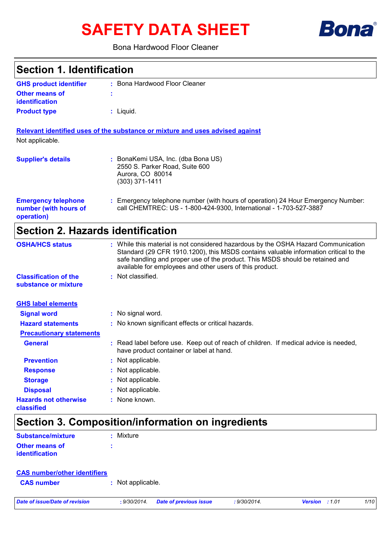# **SAFETY DATA SHEET**



### Bona Hardwood Floor Cleaner

| <b>Section 1. Identification</b>                                  |                                                                                                                                                                                                                                                                                                                         |  |  |
|-------------------------------------------------------------------|-------------------------------------------------------------------------------------------------------------------------------------------------------------------------------------------------------------------------------------------------------------------------------------------------------------------------|--|--|
| <b>GHS product identifier</b>                                     | : Bona Hardwood Floor Cleaner                                                                                                                                                                                                                                                                                           |  |  |
| <b>Other means of</b><br><b>identification</b>                    |                                                                                                                                                                                                                                                                                                                         |  |  |
| <b>Product type</b>                                               | $:$ Liquid.                                                                                                                                                                                                                                                                                                             |  |  |
|                                                                   | Relevant identified uses of the substance or mixture and uses advised against                                                                                                                                                                                                                                           |  |  |
| Not applicable.                                                   |                                                                                                                                                                                                                                                                                                                         |  |  |
| <b>Supplier's details</b>                                         | : BonaKemi USA, Inc. (dba Bona US)<br>2550 S. Parker Road, Suite 600<br>Aurora, CO 80014<br>$(303)$ 371-1411                                                                                                                                                                                                            |  |  |
| <b>Emergency telephone</b><br>number (with hours of<br>operation) | : Emergency telephone number (with hours of operation) 24 Hour Emergency Number:<br>call CHEMTREC: US - 1-800-424-9300, International - 1-703-527-3887                                                                                                                                                                  |  |  |
| <b>Section 2. Hazards identification</b>                          |                                                                                                                                                                                                                                                                                                                         |  |  |
| <b>OSHA/HCS status</b>                                            | : While this material is not considered hazardous by the OSHA Hazard Communication<br>Standard (29 CFR 1910.1200), this MSDS contains valuable information critical to the<br>safe handling and proper use of the product. This MSDS should be retained and<br>available for employees and other users of this product. |  |  |
| <b>Classification of the</b><br>substance or mixture              | : Not classified.                                                                                                                                                                                                                                                                                                       |  |  |
| <b>GHS label elements</b>                                         |                                                                                                                                                                                                                                                                                                                         |  |  |
| <b>Signal word</b>                                                | : No signal word.                                                                                                                                                                                                                                                                                                       |  |  |
| <b>Hazard statements</b>                                          | : No known significant effects or critical hazards.                                                                                                                                                                                                                                                                     |  |  |
| <b>Precautionary statements</b>                                   |                                                                                                                                                                                                                                                                                                                         |  |  |
| <b>General</b>                                                    | : Read label before use. Keep out of reach of children. If medical advice is needed,<br>have product container or label at hand.                                                                                                                                                                                        |  |  |
| <b>Prevention</b>                                                 | Not applicable.                                                                                                                                                                                                                                                                                                         |  |  |
| <b>Response</b>                                                   | Not applicable.                                                                                                                                                                                                                                                                                                         |  |  |
| <b>Storage</b>                                                    | Not applicable.                                                                                                                                                                                                                                                                                                         |  |  |
| <b>Disposal</b>                                                   | Not applicable.                                                                                                                                                                                                                                                                                                         |  |  |
| <b>Hazards not otherwise</b><br>classified                        | None known.                                                                                                                                                                                                                                                                                                             |  |  |

## **Section 3. Composition/information on ingredients**

| Substance/mixture                       | : Mixture |
|-----------------------------------------|-----------|
| <b>Other means of</b><br>identification | ٠<br>٠    |
|                                         |           |

|  | <b>CAS number/other identifiers</b> |
|--|-------------------------------------|
|  |                                     |

| <b>CAS number</b> | : Not applicable. |
|-------------------|-------------------|
|                   |                   |

*Date of issue/Date of revision* **:** *9/30/2014. Date of previous issue : 9/30/2014. Version : 1.01 1/10*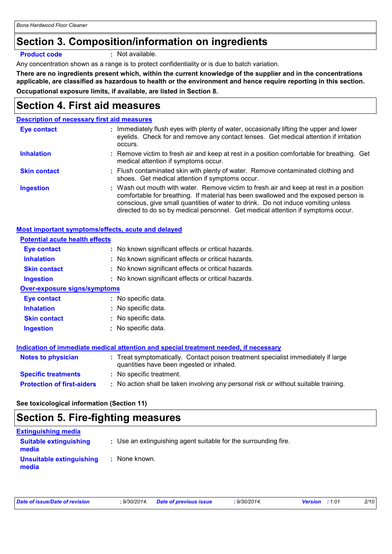## **Section 3. Composition/information on ingredients**

**Product code :** Not available.

Any concentration shown as a range is to protect confidentiality or is due to batch variation.

**There are no ingredients present which, within the current knowledge of the supplier and in the concentrations applicable, are classified as hazardous to health or the environment and hence require reporting in this section. Occupational exposure limits, if available, are listed in Section 8.**

## **Section 4. First aid measures**

### **Description of necessary first aid measures**

| Eye contact         | : Immediately flush eyes with plenty of water, occasionally lifting the upper and lower<br>eyelids. Check for and remove any contact lenses. Get medical attention if irritation<br>occurs.                                                                                                                                                            |
|---------------------|--------------------------------------------------------------------------------------------------------------------------------------------------------------------------------------------------------------------------------------------------------------------------------------------------------------------------------------------------------|
| <b>Inhalation</b>   | : Remove victim to fresh air and keep at rest in a position comfortable for breathing. Get<br>medical attention if symptoms occur.                                                                                                                                                                                                                     |
| <b>Skin contact</b> | : Flush contaminated skin with plenty of water. Remove contaminated clothing and<br>shoes. Get medical attention if symptoms occur.                                                                                                                                                                                                                    |
| <b>Ingestion</b>    | : Wash out mouth with water. Remove victim to fresh air and keep at rest in a position<br>comfortable for breathing. If material has been swallowed and the exposed person is<br>conscious, give small quantities of water to drink. Do not induce vomiting unless<br>directed to do so by medical personnel. Get medical attention if symptoms occur. |

### **Most important symptoms/effects, acute and delayed**

| : No known significant effects or critical hazards.<br>Eye contact<br>: No known significant effects or critical hazards.<br><b>Inhalation</b>              |
|-------------------------------------------------------------------------------------------------------------------------------------------------------------|
|                                                                                                                                                             |
|                                                                                                                                                             |
| : No known significant effects or critical hazards.<br><b>Skin contact</b>                                                                                  |
| : No known significant effects or critical hazards.<br><b>Ingestion</b>                                                                                     |
| <b>Over-exposure signs/symptoms</b>                                                                                                                         |
| : No specific data.<br>Eye contact                                                                                                                          |
| : No specific data.<br><b>Inhalation</b>                                                                                                                    |
| No specific data.<br><b>Skin contact</b>                                                                                                                    |
| : No specific data.<br><b>Ingestion</b>                                                                                                                     |
|                                                                                                                                                             |
| Indication of immediate medical attention and special treatment needed, if necessary                                                                        |
| : Treat symptomatically. Contact poison treatment specialist immediately if large<br><b>Notes to physician</b><br>quantities have been ingested or inhaled. |
| <b>Specific treatments</b><br>: No specific treatment.                                                                                                      |
| : No action shall be taken involving any personal risk or without suitable training.<br><b>Protection of first-aiders</b>                                   |

**See toxicological information (Section 11)**

# **Section 5. Fire-fighting measures**

| <b>Extinguishing media</b>             |                                                                 |
|----------------------------------------|-----------------------------------------------------------------|
| <b>Suitable extinguishing</b><br>media | : Use an extinguishing agent suitable for the surrounding fire. |
| Unsuitable extinguishing<br>media      | : None known.                                                   |

|  |  | Date of issue/Date of revision |
|--|--|--------------------------------|
|--|--|--------------------------------|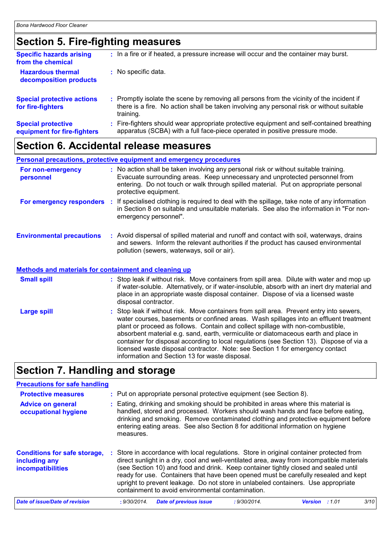## **Section 5. Fire-fighting measures**

| <b>Specific hazards arising</b><br>from the chemical     | : In a fire or if heated, a pressure increase will occur and the container may burst.                                                                                                               |
|----------------------------------------------------------|-----------------------------------------------------------------------------------------------------------------------------------------------------------------------------------------------------|
| <b>Hazardous thermal</b><br>decomposition products       | : No specific data.                                                                                                                                                                                 |
| <b>Special protective actions</b><br>for fire-fighters   | : Promptly isolate the scene by removing all persons from the vicinity of the incident if<br>there is a fire. No action shall be taken involving any personal risk or without suitable<br>training. |
| <b>Special protective</b><br>equipment for fire-fighters | : Fire-fighters should wear appropriate protective equipment and self-contained breathing<br>apparatus (SCBA) with a full face-piece operated in positive pressure mode.                            |

## **Section 6. Accidental release measures**

|                                                       | Personal precautions, protective equipment and emergency procedures                                                                                                                                                                                                                                      |
|-------------------------------------------------------|----------------------------------------------------------------------------------------------------------------------------------------------------------------------------------------------------------------------------------------------------------------------------------------------------------|
| For non-emergency<br>personnel                        | : No action shall be taken involving any personal risk or without suitable training.<br>Evacuate surrounding areas. Keep unnecessary and unprotected personnel from<br>entering. Do not touch or walk through spilled material. Put on appropriate personal<br>protective equipment.                     |
|                                                       | For emergency responders : If specialised clothing is required to deal with the spillage, take note of any information<br>in Section 8 on suitable and unsuitable materials. See also the information in "For non-<br>emergency personnel".                                                              |
| <b>Environmental precautions</b>                      | : Avoid dispersal of spilled material and runoff and contact with soil, waterways, drains<br>and sewers. Inform the relevant authorities if the product has caused environmental<br>pollution (sewers, waterways, soil or air).                                                                          |
| Methods and materials for containment and cleaning up |                                                                                                                                                                                                                                                                                                          |
| <b>Small spill</b>                                    | : Stop leak if without risk. Move containers from spill area. Dilute with water and mop up<br>if water-soluble. Alternatively, or if water-insoluble, absorb with an inert dry material and<br>place in an appropriate waste disposal container. Dispose of via a licensed waste<br>disposal contractor. |
| Large spill                                           | : Stop leak if without risk. Move containers from spill area. Prevent entry into sewers,<br>water courses, basements or confined areas. Wash spillages into an effluent treatment<br>plant or proceed as follows. Contain and collect spillage with non-combustible,                                     |

absorbent material e.g. sand, earth, vermiculite or diatomaceous earth and place in container for disposal according to local regulations (see Section 13). Dispose of via a

licensed waste disposal contractor. Note: see Section 1 for emergency contact

# **Section 7. Handling and storage**

### **Precautions for safe handling**

| <b>Protective measures</b><br><b>Advice on general</b><br>occupational hygiene   | measures.    | : Put on appropriate personal protective equipment (see Section 8).<br>: Eating, drinking and smoking should be prohibited in areas where this material is<br>handled, stored and processed. Workers should wash hands and face before eating,<br>drinking and smoking. Remove contaminated clothing and protective equipment before<br>entering eating areas. See also Section 8 for additional information on hygiene                                                                                       |              |                |        |      |
|----------------------------------------------------------------------------------|--------------|---------------------------------------------------------------------------------------------------------------------------------------------------------------------------------------------------------------------------------------------------------------------------------------------------------------------------------------------------------------------------------------------------------------------------------------------------------------------------------------------------------------|--------------|----------------|--------|------|
| <b>Conditions for safe storage,</b><br>including any<br><b>incompatibilities</b> |              | : Store in accordance with local regulations. Store in original container protected from<br>direct sunlight in a dry, cool and well-ventilated area, away from incompatible materials<br>(see Section 10) and food and drink. Keep container tightly closed and sealed until<br>ready for use. Containers that have been opened must be carefully resealed and kept<br>upright to prevent leakage. Do not store in unlabeled containers. Use appropriate<br>containment to avoid environmental contamination. |              |                |        |      |
| Date of issue/Date of revision                                                   | : 9/30/2014. | <b>Date of previous issue</b>                                                                                                                                                                                                                                                                                                                                                                                                                                                                                 | : 9/30/2014. | <b>Version</b> | : 1.01 | 3/10 |

information and Section 13 for waste disposal.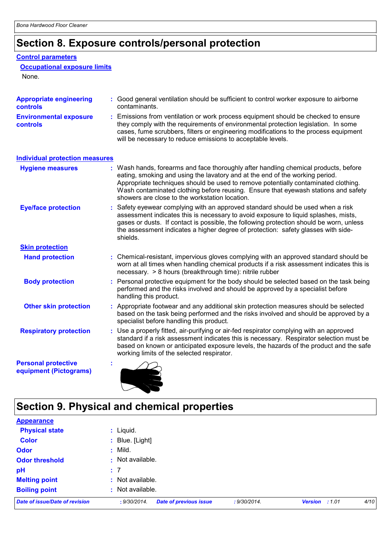# **Section 8. Exposure controls/personal protection**

### **Control parameters**

### **Occupational exposure limits**

None.

| <b>Appropriate engineering</b><br><b>controls</b>    | : Good general ventilation should be sufficient to control worker exposure to airborne<br>contaminants.                                                                                                                                                                                                                                                                                           |  |  |
|------------------------------------------------------|---------------------------------------------------------------------------------------------------------------------------------------------------------------------------------------------------------------------------------------------------------------------------------------------------------------------------------------------------------------------------------------------------|--|--|
| <b>Environmental exposure</b><br><b>controls</b>     | : Emissions from ventilation or work process equipment should be checked to ensure<br>they comply with the requirements of environmental protection legislation. In some<br>cases, fume scrubbers, filters or engineering modifications to the process equipment<br>will be necessary to reduce emissions to acceptable levels.                                                                   |  |  |
| <b>Individual protection measures</b>                |                                                                                                                                                                                                                                                                                                                                                                                                   |  |  |
| <b>Hygiene measures</b>                              | : Wash hands, forearms and face thoroughly after handling chemical products, before<br>eating, smoking and using the lavatory and at the end of the working period.<br>Appropriate techniques should be used to remove potentially contaminated clothing.<br>Wash contaminated clothing before reusing. Ensure that eyewash stations and safety<br>showers are close to the workstation location. |  |  |
| <b>Eye/face protection</b>                           | Safety eyewear complying with an approved standard should be used when a risk<br>assessment indicates this is necessary to avoid exposure to liquid splashes, mists,<br>gases or dusts. If contact is possible, the following protection should be worn, unless<br>the assessment indicates a higher degree of protection: safety glasses with side-<br>shields.                                  |  |  |
| <b>Skin protection</b>                               |                                                                                                                                                                                                                                                                                                                                                                                                   |  |  |
| <b>Hand protection</b>                               | : Chemical-resistant, impervious gloves complying with an approved standard should be<br>worn at all times when handling chemical products if a risk assessment indicates this is<br>necessary. > 8 hours (breakthrough time): nitrile rubber                                                                                                                                                     |  |  |
| <b>Body protection</b>                               | : Personal protective equipment for the body should be selected based on the task being<br>performed and the risks involved and should be approved by a specialist before<br>handling this product.                                                                                                                                                                                               |  |  |
| <b>Other skin protection</b>                         | : Appropriate footwear and any additional skin protection measures should be selected<br>based on the task being performed and the risks involved and should be approved by a<br>specialist before handling this product.                                                                                                                                                                         |  |  |
| <b>Respiratory protection</b>                        | : Use a properly fitted, air-purifying or air-fed respirator complying with an approved<br>standard if a risk assessment indicates this is necessary. Respirator selection must be<br>based on known or anticipated exposure levels, the hazards of the product and the safe<br>working limits of the selected respirator.                                                                        |  |  |
| <b>Personal protective</b><br>equipment (Pictograms) |                                                                                                                                                                                                                                                                                                                                                                                                   |  |  |

# **Section 9. Physical and chemical properties**

| <b>Appearance</b>              |                                                               |                         |      |
|--------------------------------|---------------------------------------------------------------|-------------------------|------|
| <b>Physical state</b>          | : Liquid.                                                     |                         |      |
| <b>Color</b>                   | : Blue. [Light]                                               |                         |      |
| <b>Odor</b>                    | $:$ Mild.                                                     |                         |      |
| <b>Odor threshold</b>          | : Not available.                                              |                         |      |
| pH                             | : 7                                                           |                         |      |
| <b>Melting point</b>           | : Not available.                                              |                         |      |
| <b>Boiling point</b>           | : Not available.                                              |                         |      |
| Date of issue/Date of revision | <b>Date of previous issue</b><br>: 9/30/2014.<br>: 9/30/2014. | <b>Version</b><br>:1.01 | 4/10 |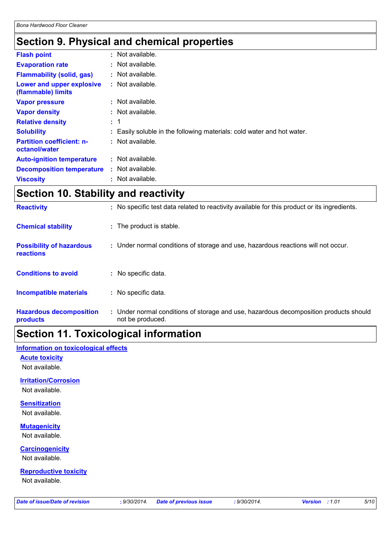## **Section 9. Physical and chemical properties**

| <b>Flash point</b>                                | $:$ Not available.                                                     |
|---------------------------------------------------|------------------------------------------------------------------------|
| <b>Evaporation rate</b>                           | : Not available.                                                       |
| <b>Flammability (solid, gas)</b>                  | $:$ Not available.                                                     |
| Lower and upper explosive<br>(flammable) limits   | $:$ Not available.                                                     |
| <b>Vapor pressure</b>                             | : Not available.                                                       |
| <b>Vapor density</b>                              | $:$ Not available.                                                     |
| <b>Relative density</b>                           | : 1                                                                    |
| <b>Solubility</b>                                 | : Easily soluble in the following materials: cold water and hot water. |
| <b>Partition coefficient: n-</b><br>octanol/water | $:$ Not available.                                                     |
| <b>Auto-ignition temperature</b>                  | $:$ Not available.                                                     |
| <b>Decomposition temperature</b>                  | $:$ Not available.                                                     |
| <b>Viscosity</b>                                  | : Not available.                                                       |

# **Section 10. Stability and reactivity**

| <b>Incompatible materials</b><br><b>Hazardous decomposition</b> | : No specific data.<br>: Under normal conditions of storage and use, hazardous decomposition products should |
|-----------------------------------------------------------------|--------------------------------------------------------------------------------------------------------------|
| <b>Conditions to avoid</b>                                      | : No specific data.                                                                                          |
| <b>Possibility of hazardous</b><br><b>reactions</b>             | : Under normal conditions of storage and use, hazardous reactions will not occur.                            |
| <b>Chemical stability</b>                                       | : The product is stable.                                                                                     |
| <b>Reactivity</b>                                               | : No specific test data related to reactivity available for this product or its ingredients.                 |

# **Section 11. Toxicological information**

### **Information on toxicological effects**

**Acute toxicity**

Not available.

### **Irritation/Corrosion**

Not available.

### **Sensitization** Not available.

**Mutagenicity**

## **Carcinogenicity** Not available.

Not available.

### **Reproductive toxicity**

Not available.

*Date of issue/Date of revision* **:** *9/30/2014. Date of previous issue : 9/30/2014. Version : 1.01 5/10*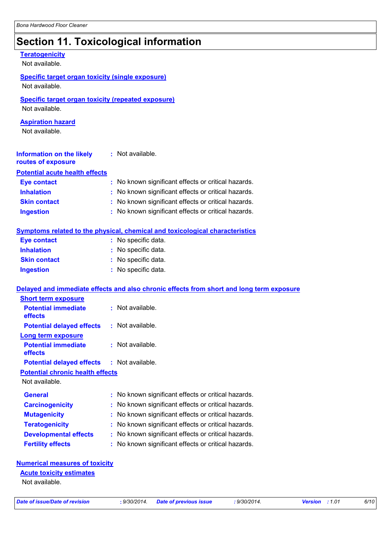# **Section 11. Toxicological information**

| <b>Teratogenicity</b><br>Not available.                                     |                                                                                          |  |
|-----------------------------------------------------------------------------|------------------------------------------------------------------------------------------|--|
| <b>Specific target organ toxicity (single exposure)</b><br>Not available.   |                                                                                          |  |
| <b>Specific target organ toxicity (repeated exposure)</b><br>Not available. |                                                                                          |  |
| <b>Aspiration hazard</b><br>Not available.                                  |                                                                                          |  |
| <b>Information on the likely</b><br>routes of exposure                      | : Not available.                                                                         |  |
| <b>Potential acute health effects</b>                                       |                                                                                          |  |
| <b>Eye contact</b>                                                          | : No known significant effects or critical hazards.                                      |  |
| <b>Inhalation</b>                                                           | : No known significant effects or critical hazards.                                      |  |
| <b>Skin contact</b>                                                         | : No known significant effects or critical hazards.                                      |  |
| <b>Ingestion</b>                                                            | : No known significant effects or critical hazards.                                      |  |
|                                                                             | Symptoms related to the physical, chemical and toxicological characteristics             |  |
| <b>Eye contact</b>                                                          | : No specific data.                                                                      |  |
| <b>Inhalation</b>                                                           | : No specific data.                                                                      |  |
| <b>Skin contact</b>                                                         | : No specific data.                                                                      |  |
| <b>Ingestion</b>                                                            | : No specific data.                                                                      |  |
|                                                                             | Delayed and immediate effects and also chronic effects from short and long term exposure |  |
| <b>Short term exposure</b>                                                  |                                                                                          |  |
| <b>Potential immediate</b><br>effects                                       | : Not available.                                                                         |  |
| <b>Potential delayed effects</b>                                            | $:$ Not available.                                                                       |  |
| <b>Long term exposure</b>                                                   |                                                                                          |  |
| <b>Potential immediate</b><br>effects                                       | : Not available.                                                                         |  |
| <b>Potential delayed effects</b>                                            | : Not available.                                                                         |  |
| <b>Potential chronic health effects</b>                                     |                                                                                          |  |
| Not available.                                                              |                                                                                          |  |
| <b>General</b>                                                              | : No known significant effects or critical hazards.                                      |  |
| <b>Carcinogenicity</b>                                                      | : No known significant effects or critical hazards.                                      |  |
| <b>Mutagenicity</b>                                                         | No known significant effects or critical hazards.                                        |  |
| <b>Teratogenicity</b>                                                       | : No known significant effects or critical hazards.                                      |  |
| <b>Developmental effects</b>                                                | : No known significant effects or critical hazards.                                      |  |
| <b>Fertility effects</b>                                                    | : No known significant effects or critical hazards.                                      |  |
|                                                                             |                                                                                          |  |
| <b>Numerical measures of toxicity</b>                                       |                                                                                          |  |
| <b>Acute toxicity estimates</b>                                             |                                                                                          |  |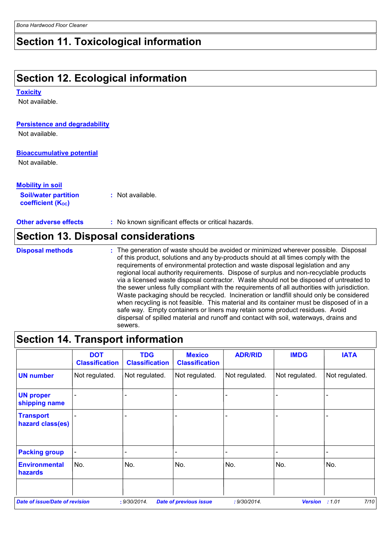## **Section 11. Toxicological information**

## **Section 12. Ecological information**

#### **Toxicity**

Not available.

### **Persistence and degradability**

Not available.

### **Bioaccumulative potential**

Not available.

### **Mobility in soil**

| <b>Soil/water partition</b>           |  | : Not available. |
|---------------------------------------|--|------------------|
| <b>coefficient</b> (K <sub>oc</sub> ) |  |                  |

**Other adverse effects : No known significant effects or critical hazards.** 

## **Section 13. Disposal considerations**

The generation of waste should be avoided or minimized wherever possible. Disposal of this product, solutions and any by-products should at all times comply with the requirements of environmental protection and waste disposal legislation and any regional local authority requirements. Dispose of surplus and non-recyclable products via a licensed waste disposal contractor. Waste should not be disposed of untreated to the sewer unless fully compliant with the requirements of all authorities with jurisdiction. Waste packaging should be recycled. Incineration or landfill should only be considered when recycling is not feasible. This material and its container must be disposed of in a safe way. Empty containers or liners may retain some product residues. Avoid dispersal of spilled material and runoff and contact with soil, waterways, drains and sewers. **Disposal methods :**

## **Section 14. Transport information**

|                                       | <b>DOT</b><br><b>Classification</b> | <b>TDG</b><br><b>Classification</b> | <b>Mexico</b><br><b>Classification</b> | <b>ADR/RID</b> | <b>IMDG</b>    | <b>IATA</b>    |
|---------------------------------------|-------------------------------------|-------------------------------------|----------------------------------------|----------------|----------------|----------------|
| <b>UN number</b>                      | Not regulated.                      | Not regulated.                      | Not regulated.                         | Not regulated. | Not regulated. | Not regulated. |
| <b>UN proper</b><br>shipping name     |                                     |                                     |                                        |                |                |                |
| <b>Transport</b><br>hazard class(es)  |                                     |                                     |                                        |                |                |                |
| <b>Packing group</b>                  | $\blacksquare$                      |                                     | $\blacksquare$                         |                |                |                |
| <b>Environmental</b><br>hazards       | No.                                 | No.                                 | No.                                    | No.            | No.            | No.            |
|                                       |                                     |                                     |                                        |                |                |                |
| <b>Date of issue/Date of revision</b> |                                     | : 9/30/2014.                        | <b>Date of previous issue</b>          | : 9/30/2014.   | <b>Version</b> | 7/10<br>:1.01  |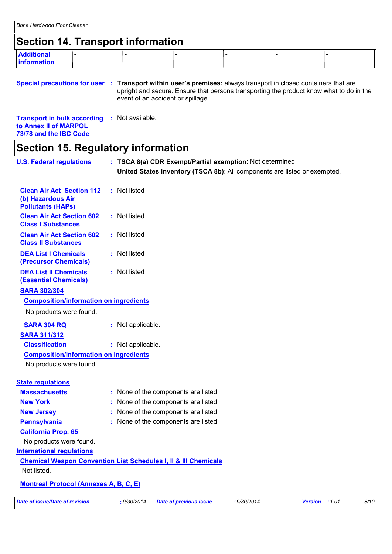## **Section 14. Transport information**

| <b>Additional</b><br>$\sim$<br>information |  |  |  |
|--------------------------------------------|--|--|--|
|                                            |  |  |  |

**Special precautions for user** : Transport within user's premises: always transport in closed containers that are upright and secure. Ensure that persons transporting the product know what to do in the event of an accident or spillage.

**Transport in bulk according :** Not available. **to Annex II of MARPOL 73/78 and the IBC Code**

## **Section 15. Regulatory information**

| <b>U.S. Federal regulations</b>                                                   | : TSCA 8(a) CDR Exempt/Partial exemption: Not determined<br>United States inventory (TSCA 8b): All components are listed or exempted. |      |
|-----------------------------------------------------------------------------------|---------------------------------------------------------------------------------------------------------------------------------------|------|
|                                                                                   |                                                                                                                                       |      |
| <b>Clean Air Act Section 112</b><br>(b) Hazardous Air<br><b>Pollutants (HAPs)</b> | : Not listed                                                                                                                          |      |
| <b>Clean Air Act Section 602</b><br><b>Class I Substances</b>                     | : Not listed                                                                                                                          |      |
| <b>Clean Air Act Section 602</b><br><b>Class II Substances</b>                    | : Not listed                                                                                                                          |      |
| <b>DEA List I Chemicals</b><br>(Precursor Chemicals)                              | : Not listed                                                                                                                          |      |
| <b>DEA List II Chemicals</b><br><b>(Essential Chemicals)</b>                      | : Not listed                                                                                                                          |      |
| <b>SARA 302/304</b>                                                               |                                                                                                                                       |      |
| <b>Composition/information on ingredients</b>                                     |                                                                                                                                       |      |
| No products were found.                                                           |                                                                                                                                       |      |
| <b>SARA 304 RQ</b>                                                                | : Not applicable.                                                                                                                     |      |
| <b>SARA 311/312</b>                                                               |                                                                                                                                       |      |
| <b>Classification</b>                                                             | : Not applicable.                                                                                                                     |      |
| <b>Composition/information on ingredients</b>                                     |                                                                                                                                       |      |
| No products were found.                                                           |                                                                                                                                       |      |
| <b>State regulations</b>                                                          |                                                                                                                                       |      |
| <b>Massachusetts</b>                                                              | : None of the components are listed.                                                                                                  |      |
| <b>New York</b>                                                                   | None of the components are listed.                                                                                                    |      |
| <b>New Jersey</b>                                                                 | None of the components are listed.                                                                                                    |      |
| <b>Pennsylvania</b>                                                               | None of the components are listed.                                                                                                    |      |
| <b>California Prop. 65</b>                                                        |                                                                                                                                       |      |
| No products were found.                                                           |                                                                                                                                       |      |
| <b>International regulations</b>                                                  |                                                                                                                                       |      |
|                                                                                   | <b>Chemical Weapon Convention List Schedules I, II &amp; III Chemicals</b>                                                            |      |
| Not listed.                                                                       |                                                                                                                                       |      |
| <b>Montreal Protocol (Annexes A, B, C, E)</b>                                     |                                                                                                                                       |      |
| <b>Date of issue/Date of revision</b>                                             | : 9/30/2014.<br>Version : 1.01<br>: 9/30/2014.<br><b>Date of previous issue</b>                                                       | 8/10 |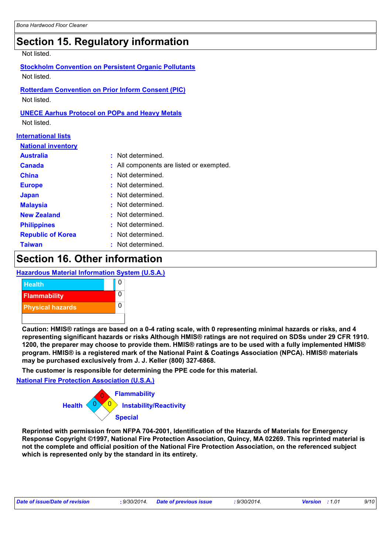## **Section 15. Regulatory information**

#### Not listed.

## **Stockholm Convention on Persistent Organic Pollutants**

Not listed.

**Rotterdam Convention on Prior Inform Consent (PIC)**

Not listed.

### **UNECE Aarhus Protocol on POPs and Heavy Metals**

Not listed.

### **International lists**

| <b>National inventory</b> |  |
|---------------------------|--|
|---------------------------|--|

| <b>Australia</b>         | : Not determined.                        |
|--------------------------|------------------------------------------|
| <b>Canada</b>            | : All components are listed or exempted. |
| <b>China</b>             | : Not determined.                        |
| <b>Europe</b>            | : Not determined.                        |
| <b>Japan</b>             | : Not determined.                        |
| <b>Malaysia</b>          | : Not determined.                        |
| <b>New Zealand</b>       | : Not determined.                        |
| <b>Philippines</b>       | : Not determined.                        |
| <b>Republic of Korea</b> | : Not determined.                        |
| <b>Taiwan</b>            | : Not determined.                        |

## **Section 16. Other information**

### **Hazardous Material Information System (U.S.A.)**



**Caution: HMIS® ratings are based on a 0-4 rating scale, with 0 representing minimal hazards or risks, and 4 representing significant hazards or risks Although HMIS® ratings are not required on SDSs under 29 CFR 1910. 1200, the preparer may choose to provide them. HMIS® ratings are to be used with a fully implemented HMIS® program. HMIS® is a registered mark of the National Paint & Coatings Association (NPCA). HMIS® materials may be purchased exclusively from J. J. Keller (800) 327-6868.**

**The customer is responsible for determining the PPE code for this material.**

### **National Fire Protection Association (U.S.A.)**



**Reprinted with permission from NFPA 704-2001, Identification of the Hazards of Materials for Emergency Response Copyright ©1997, National Fire Protection Association, Quincy, MA 02269. This reprinted material is not the complete and official position of the National Fire Protection Association, on the referenced subject which is represented only by the standard in its entirety.**

| Date of issue/Date of revision<br>$9/30/2014$ .<br>9/30/2014.<br><b>Date of previous issue</b><br><b>Version</b> : 1.01 |  |  |  |  |  | 9/10 |
|-------------------------------------------------------------------------------------------------------------------------|--|--|--|--|--|------|
|-------------------------------------------------------------------------------------------------------------------------|--|--|--|--|--|------|